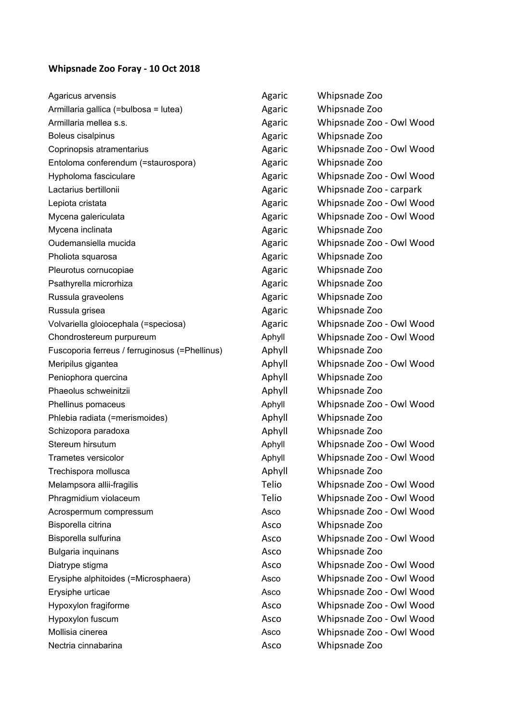## **Whipsnade Zoo Foray ‐ 10 Oct 2018**

| Agaricus arvensis                              | Agaric | Whipsnade Zoo            |
|------------------------------------------------|--------|--------------------------|
| Armillaria gallica (=bulbosa = lutea)          | Agaric | Whipsnade Zoo            |
| Armillaria mellea s.s.                         | Agaric | Whipsnade Zoo - Owl Wood |
| Boleus cisalpinus                              | Agaric | Whipsnade Zoo            |
| Coprinopsis atramentarius                      | Agaric | Whipsnade Zoo - Owl Wood |
| Entoloma conferendum (=staurospora)            | Agaric | Whipsnade Zoo            |
| Hypholoma fasciculare                          | Agaric | Whipsnade Zoo - Owl Wood |
| Lactarius bertillonii                          | Agaric | Whipsnade Zoo - carpark  |
| Lepiota cristata                               | Agaric | Whipsnade Zoo - Owl Wood |
| Mycena galericulata                            | Agaric | Whipsnade Zoo - Owl Wood |
| Mycena inclinata                               | Agaric | Whipsnade Zoo            |
| Oudemansiella mucida                           | Agaric | Whipsnade Zoo - Owl Wood |
| Pholiota squarosa                              | Agaric | Whipsnade Zoo            |
| Pleurotus cornucopiae                          | Agaric | Whipsnade Zoo            |
| Psathyrella microrhiza                         | Agaric | Whipsnade Zoo            |
| Russula graveolens                             | Agaric | Whipsnade Zoo            |
| Russula grisea                                 | Agaric | Whipsnade Zoo            |
| Volvariella gloiocephala (=speciosa)           | Agaric | Whipsnade Zoo - Owl Wood |
| Chondrostereum purpureum                       | Aphyll | Whipsnade Zoo - Owl Wood |
| Fuscoporia ferreus / ferruginosus (=Phellinus) | Aphyll | Whipsnade Zoo            |
| Meripilus gigantea                             | Aphyll | Whipsnade Zoo - Owl Wood |
| Peniophora quercina                            | Aphyll | Whipsnade Zoo            |
| Phaeolus schweinitzii                          | Aphyll | Whipsnade Zoo            |
| Phellinus pomaceus                             | Aphyll | Whipsnade Zoo - Owl Wood |
| Phlebia radiata (=merismoides)                 | Aphyll | Whipsnade Zoo            |
| Schizopora paradoxa                            | Aphyll | Whipsnade Zoo            |
| Stereum hirsutum                               | Aphyll | Whipsnade Zoo - Owl Wood |
| Trametes versicolor                            | Aphyll | Whipsnade Zoo - Owl Wood |
| Trechispora mollusca                           | Aphyll | Whipsnade Zoo            |
| Melampsora allii-fragilis                      | Telio  | Whipsnade Zoo - Owl Wood |
| Phragmidium violaceum                          | Telio  | Whipsnade Zoo - Owl Wood |
| Acrospermum compressum                         | Asco   | Whipsnade Zoo - Owl Wood |
| Bisporella citrina                             | Asco   | Whipsnade Zoo            |
| Bisporella sulfurina                           | Asco   | Whipsnade Zoo - Owl Wood |
| Bulgaria inquinans                             | Asco   | Whipsnade Zoo            |
| Diatrype stigma                                | Asco   | Whipsnade Zoo - Owl Wood |
| Erysiphe alphitoides (=Microsphaera)           | Asco   | Whipsnade Zoo - Owl Wood |
| Erysiphe urticae                               | Asco   | Whipsnade Zoo - Owl Wood |
| Hypoxylon fragiforme                           | Asco   | Whipsnade Zoo - Owl Wood |
| Hypoxylon fuscum                               | Asco   | Whipsnade Zoo - Owl Wood |
| Mollisia cinerea                               | Asco   | Whipsnade Zoo - Owl Wood |
| Nectria cinnabarina                            | Asco   | Whipsnade Zoo            |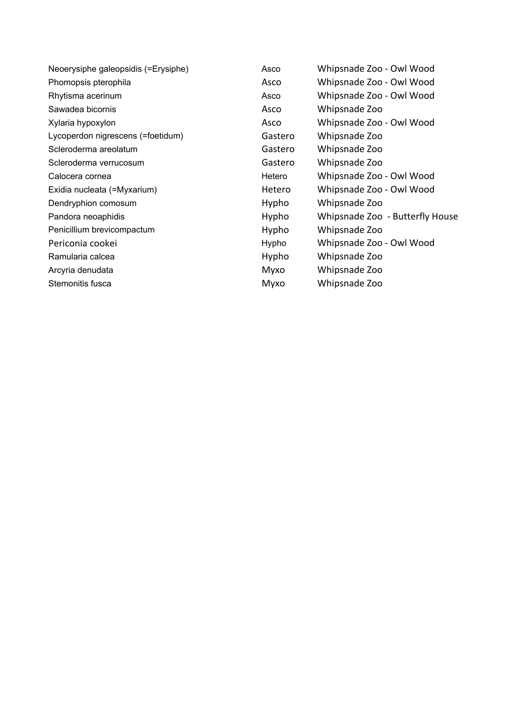Sawadea bicornis and a series are a series and as Asco Mexico Whipsnade Zoo Lycoperdon nigrescens (=foetidum) Gastero Whipsnade Zoo Scleroderma areolatum Gastero Whipsnade Zoo Scleroderma verrucosum and a series of Gastero Whipsnade Zoo Dendryphion comosum and the Controller Hypho Whipsnade Zoo Penicillium brevicompactum example and Hypho Whipsnade Zoo Ramularia calcea **National Community** Ramularia calcea **Hypho** Whipsnade Zoo Arcyria denudata Myxo Whipsnade Zoo Stemonitis fusca and a metal metal metal metal Myxo Whipsnade Zoo

Neoerysiphe galeopsidis (=Erysiphe) Asco Whipsnade Zoo - Owl Wood Phomopsis pterophila Asco Whipsnade Zoo - Owl Wood Rhytisma acerinum **Asco** Whipsnade Zoo - Owl Wood Xylaria hypoxylon Asco Whipsnade Zoo - Owl Wood Calocera cornea Hetero Whipsnade Zoo ‐ Owl Wood Exidia nucleata (=Myxarium) and a metero hetero whipsnade Zoo - Owl Wood Pandora neoaphidis **Pandora neoaphidis** Hypho Whipsnade Zoo - Butterfly House Periconia cookei **Network** Hypho Whipsnade Zoo - Owl Wood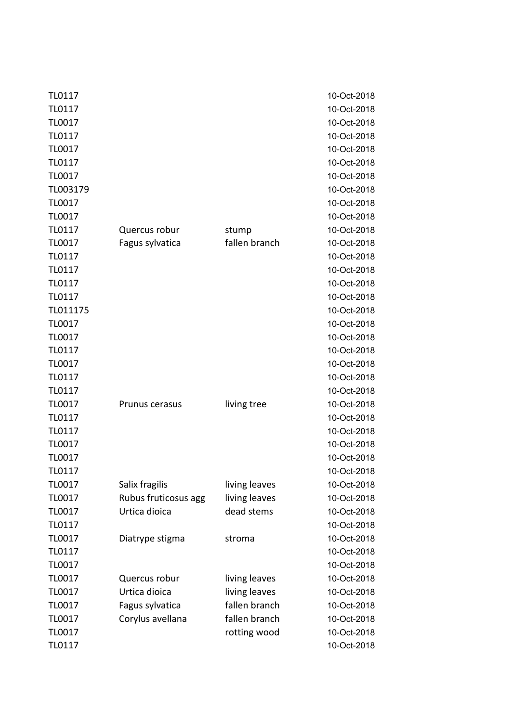| TL0117   |                      |               | 10-Oct-2018 |
|----------|----------------------|---------------|-------------|
| TL0117   |                      |               | 10-Oct-2018 |
| TL0017   |                      |               | 10-Oct-2018 |
| TL0117   |                      |               | 10-Oct-2018 |
| TL0017   |                      |               | 10-Oct-2018 |
| TL0117   |                      |               | 10-Oct-2018 |
| TL0017   |                      |               | 10-Oct-2018 |
| TL003179 |                      |               | 10-Oct-2018 |
| TL0017   |                      |               | 10-Oct-2018 |
| TL0017   |                      |               | 10-Oct-2018 |
| TL0117   | Quercus robur        | stump         | 10-Oct-2018 |
| TL0017   | Fagus sylvatica      | fallen branch | 10-Oct-2018 |
| TL0117   |                      |               | 10-Oct-2018 |
| TL0117   |                      |               | 10-Oct-2018 |
| TL0117   |                      |               | 10-Oct-2018 |
| TL0117   |                      |               | 10-Oct-2018 |
| TL011175 |                      |               | 10-Oct-2018 |
| TL0017   |                      |               | 10-Oct-2018 |
| TL0017   |                      |               | 10-Oct-2018 |
| TL0117   |                      |               | 10-Oct-2018 |
| TL0017   |                      |               | 10-Oct-2018 |
| TL0117   |                      |               | 10-Oct-2018 |
| TL0117   |                      |               | 10-Oct-2018 |
| TL0017   | Prunus cerasus       | living tree   | 10-Oct-2018 |
| TL0117   |                      |               | 10-Oct-2018 |
| TL0117   |                      |               | 10-Oct-2018 |
| TL0017   |                      |               | 10-Oct-2018 |
| TL0017   |                      |               | 10-Oct-2018 |
| TL0117   |                      |               | 10-Oct-2018 |
| TL0017   | Salix fragilis       | living leaves | 10-Oct-2018 |
| TL0017   | Rubus fruticosus agg | living leaves | 10-Oct-2018 |
| TL0017   | Urtica dioica        | dead stems    | 10-Oct-2018 |
| TL0117   |                      |               | 10-Oct-2018 |
| TL0017   | Diatrype stigma      | stroma        | 10-Oct-2018 |
| TL0117   |                      |               | 10-Oct-2018 |
| TL0017   |                      |               | 10-Oct-2018 |
| TL0017   | Quercus robur        | living leaves | 10-Oct-2018 |
| TL0017   | Urtica dioica        | living leaves | 10-Oct-2018 |
| TL0017   | Fagus sylvatica      | fallen branch | 10-Oct-2018 |
| TL0017   | Corylus avellana     | fallen branch | 10-Oct-2018 |
| TL0017   |                      | rotting wood  | 10-Oct-2018 |
| TL0117   |                      |               | 10-Oct-2018 |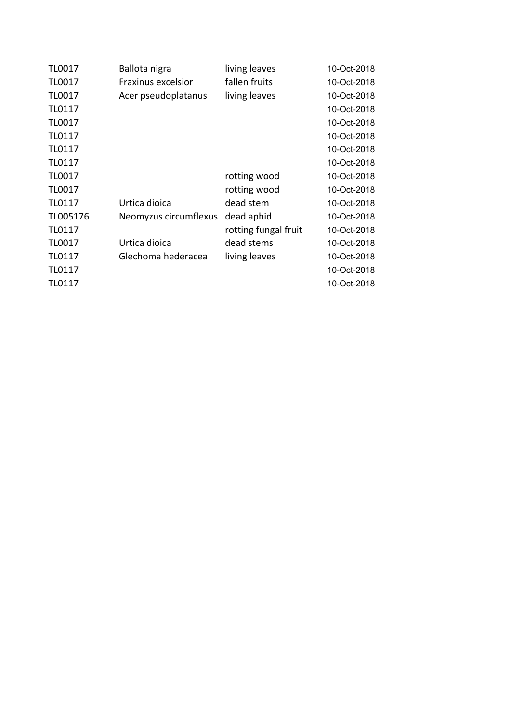| TL0017        | Ballota nigra         | living leaves        | 10-Oct-2018 |
|---------------|-----------------------|----------------------|-------------|
| <b>TL0017</b> | Fraxinus excelsior    | fallen fruits        | 10-Oct-2018 |
| <b>TL0017</b> | Acer pseudoplatanus   | living leaves        | 10-Oct-2018 |
| TL0117        |                       |                      | 10-Oct-2018 |
| <b>TL0017</b> |                       |                      | 10-Oct-2018 |
| TL0117        |                       |                      | 10-Oct-2018 |
| TL0117        |                       |                      | 10-Oct-2018 |
| TL0117        |                       |                      | 10-Oct-2018 |
| <b>TL0017</b> |                       | rotting wood         | 10-Oct-2018 |
| <b>TL0017</b> |                       | rotting wood         | 10-Oct-2018 |
| TL0117        | Urtica dioica         | dead stem            | 10-Oct-2018 |
| TL005176      | Neomyzus circumflexus | dead aphid           | 10-Oct-2018 |
| TL0117        |                       | rotting fungal fruit | 10-Oct-2018 |
| <b>TL0017</b> | Urtica dioica         | dead stems           | 10-Oct-2018 |
| TL0117        | Glechoma hederacea    | living leaves        | 10-Oct-2018 |
| TL0117        |                       |                      | 10-Oct-2018 |
| TL0117        |                       |                      | 10-Oct-2018 |
|               |                       |                      |             |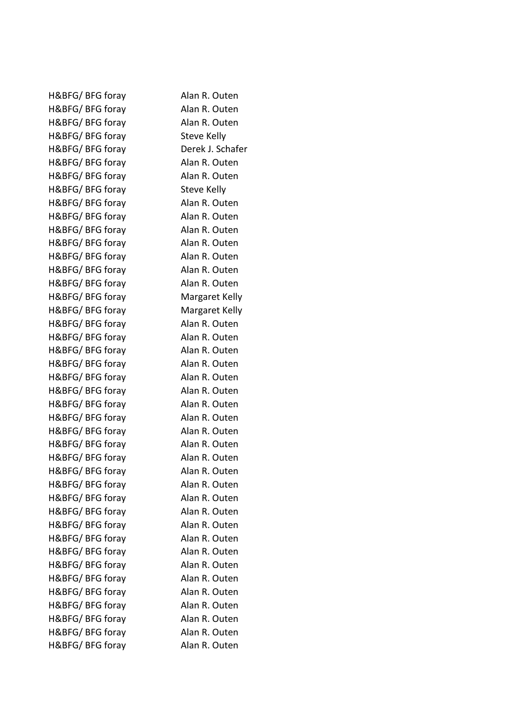| H&BFG/BFG foray  | Alan R. Outen    |
|------------------|------------------|
| H&BFG/BFG foray  | Alan R. Outen    |
| H&BFG/BFG foray  | Alan R. Outen    |
| H&BFG/BFG foray  | Steve Kelly      |
| H&BFG/BFG foray  | Derek J. Schafer |
| H&BFG/BFG foray  | Alan R. Outen    |
| H&BFG/BFG foray  | Alan R. Outen    |
| H&BFG/BFG foray  | Steve Kelly      |
| H&BFG/BFG foray  | Alan R. Outen    |
| H&BFG/BFG foray  | Alan R. Outen    |
| H&BFG/BFG foray  | Alan R. Outen    |
| H&BFG/ BFG foray | Alan R. Outen    |
| H&BFG/BFG foray  | Alan R. Outen    |
| H&BFG/BFG foray  | Alan R. Outen    |
| H&BFG/BFG foray  | Alan R. Outen    |
| H&BFG/BFG foray  | Margaret Kelly   |
| H&BFG/BFG foray  | Margaret Kelly   |
| H&BFG/BFG foray  | Alan R. Outen    |
| H&BFG/BFG foray  | Alan R. Outen    |
| H&BFG/BFG foray  | Alan R. Outen    |
| H&BFG/BFG foray  | Alan R. Outen    |
| H&BFG/ BFG foray | Alan R. Outen    |
| H&BFG/BFG foray  | Alan R. Outen    |
| H&BFG/BFG foray  | Alan R. Outen    |
| H&BFG/BFG foray  | Alan R. Outen    |
| H&BFG/BFG foray  | Alan R. Outen    |
| H&BFG/BFG foray  | Alan R. Outen    |
| H&BFG/BFG foray  | Alan R. Outen    |
| H&BFG/BFG foray  | Alan R. Outen    |
| H&BFG/BFG foray  | Alan R. Outen    |
| H&BFG/BFG foray  | Alan R. Outen    |
| H&BFG/BFG foray  | Alan R. Outen    |
| H&BFG/BFG foray  | Alan R. Outen    |
| H&BFG/BFG foray  | Alan R. Outen    |
| H&BFG/BFG foray  | Alan R. Outen    |
| H&BFG/BFG foray  | Alan R. Outen    |
| H&BFG/BFG foray  | Alan R. Outen    |
| H&BFG/BFG foray  | Alan R. Outen    |
| H&BFG/BFG foray  | Alan R. Outen    |
| H&BFG/BFG foray  | Alan R. Outen    |
| H&BFG/BFG foray  | Alan R. Outen    |
| H&BFG/BFG foray  | Alan R. Outen    |
|                  |                  |